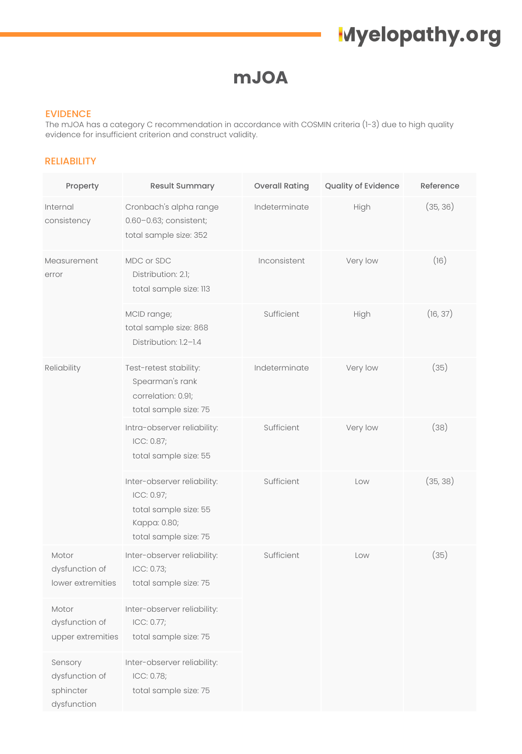### **mJOA**

#### EVIDENCE

The mJOA has a category C recommendation in accordance with COSMIN criteria (1-3) due to high quality evidence for insufficient criterion and construct validity.

#### RELIABILITY

| Property                                              | <b>Result Summary</b>                                                                                       | <b>Overall Rating</b> | Quality of Evidence | Reference |  |
|-------------------------------------------------------|-------------------------------------------------------------------------------------------------------------|-----------------------|---------------------|-----------|--|
| Internal<br>consistency                               | Cronbach's alpha range<br>0.60-0.63; consistent;<br>total sample size: 352                                  | Indeterminate         | High                | (35, 36)  |  |
| Measurement<br>error                                  | MDC or SDC<br>Distribution: 2.1;<br>total sample size: 113                                                  | Inconsistent          | Very low            | (16)      |  |
|                                                       | MCID range;<br>total sample size: 868<br>Distribution: 1.2-1.4                                              | Sufficient            | High                | (16, 37)  |  |
| Reliability                                           | Test-retest stability:<br>Spearman's rank<br>correlation: 0.91;<br>total sample size: 75                    | Indeterminate         | Very low            | (35)      |  |
|                                                       | Intra-observer reliability:<br>ICC: 0.87;<br>total sample size: 55                                          | Sufficient            | Very low            | (38)      |  |
|                                                       | Inter-observer reliability:<br>ICC: 0.97;<br>total sample size: 55<br>Kappa: 0.80;<br>total sample size: 75 | Sufficient            | Low                 | (35, 38)  |  |
| Motor<br>dysfunction of<br>lower extremities          | Inter-observer reliability:<br>ICC: 0.73;<br>total sample size: 75                                          | Sufficient            | Low                 | (35)      |  |
| Motor<br>dysfunction of<br>upper extremities          | Inter-observer reliability:<br>ICC: 0.77;<br>total sample size: 75                                          |                       |                     |           |  |
| Sensory<br>dysfunction of<br>sphincter<br>dysfunction | Inter-observer reliability:<br>ICC: 0.78;<br>total sample size: 75                                          |                       |                     |           |  |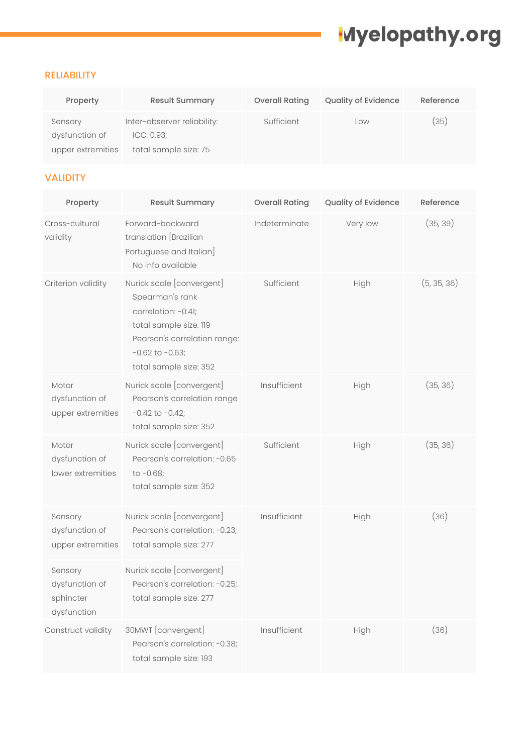### RELIABILITY

| Property                                       | <b>Result Summary</b>                                              | <b>Overall Rating</b> | <b>Quality of Evidence</b> | Reference |
|------------------------------------------------|--------------------------------------------------------------------|-----------------------|----------------------------|-----------|
| Sensory<br>dysfunction of<br>upper extremities | Inter-observer reliability:<br>ICC: 0.93;<br>total sample size: 75 | Sufficient            | Low                        | 35)       |

#### VALIDITY

| Property                                              | <b>Result Summary</b>                                                                                                                                                           | <b>Overall Rating</b> | Quality of Evidence | Reference   |
|-------------------------------------------------------|---------------------------------------------------------------------------------------------------------------------------------------------------------------------------------|-----------------------|---------------------|-------------|
| Cross-cultural<br>validity                            | Forward-backward<br>translation [Brazilian<br>Portuguese and Italian]<br>No info available                                                                                      | Indeterminate         | Very low            | (35, 39)    |
| Criterion validity                                    | Nurick scale [convergent]<br>Spearman's rank<br>correlation: -0.41;<br>total sample size: 119<br>Pearson's correlation range:<br>$-0.62$ to $-0.63$ ;<br>total sample size: 352 | Sufficient            | High                | (5, 35, 36) |
| Motor<br>dysfunction of<br>upper extremities          | Nurick scale [convergent]<br>Pearson's correlation range<br>$-0.42$ to $-0.42$ ;<br>total sample size: 352                                                                      | Insufficient          | High                | (35, 36)    |
| Motor<br>dysfunction of<br>lower extremities          | Nurick scale [convergent]<br>Pearson's correlation: -0.65<br>to $-0.68$ ;<br>total sample size: 352                                                                             | Sufficient            | High                | (35, 36)    |
| Sensory<br>dysfunction of<br>upper extremities        | Nurick scale [convergent]<br>Pearson's correlation: -0.23;<br>total sample size: 277                                                                                            | Insufficient          | High                | (36)        |
| Sensory<br>dysfunction of<br>sphincter<br>dysfunction | Nurick scale [convergent]<br>Pearson's correlation: -0.25;<br>total sample size: 277                                                                                            |                       |                     |             |
| Construct validity                                    | 30MWT [convergent]<br>Pearson's correlation: -0.38;<br>total sample size: 193                                                                                                   | Insufficient          | High                | (36)        |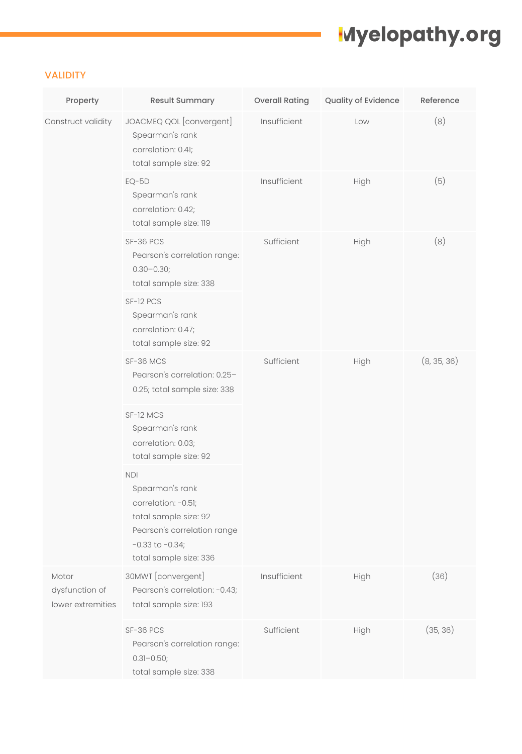#### VALIDITY

| Property                                     | <b>Result Summary</b>                                                                                                                                          | <b>Overall Rating</b> | Quality of Evidence | Reference   |  |
|----------------------------------------------|----------------------------------------------------------------------------------------------------------------------------------------------------------------|-----------------------|---------------------|-------------|--|
| Construct validity                           | JOACMEQ QOL [convergent]<br>Spearman's rank<br>correlation: 0.41;<br>total sample size: 92                                                                     | Insufficient          | Low                 | (8)         |  |
|                                              | $EQ-5D$<br>Spearman's rank<br>correlation: 0.42;<br>total sample size: 119                                                                                     | Insufficient          | High                | (5)         |  |
|                                              | SF-36 PCS<br>Pearson's correlation range:<br>$0.30 - 0.30;$<br>total sample size: 338                                                                          | Sufficient            | High                | (8)         |  |
|                                              | SF-12 PCS<br>Spearman's rank<br>correlation: 0.47;<br>total sample size: 92                                                                                    |                       |                     |             |  |
|                                              | SF-36 MCS<br>Pearson's correlation: 0.25-<br>0.25; total sample size: 338                                                                                      | Sufficient            | High                | (8, 35, 36) |  |
|                                              | SF-12 MCS<br>Spearman's rank<br>correlation: 0.03;<br>total sample size: 92                                                                                    |                       |                     |             |  |
|                                              | <b>NDI</b><br>Spearman's rank<br>correlation: -0.51;<br>total sample size: 92<br>Pearson's correlation range<br>$-0.33$ to $-0.34$ ;<br>total sample size: 336 |                       |                     |             |  |
| Motor<br>dysfunction of<br>lower extremities | 30MWT [convergent]<br>Pearson's correlation: -0.43;<br>total sample size: 193                                                                                  | Insufficient          | High                | (36)        |  |
|                                              | SF-36 PCS<br>Pearson's correlation range:<br>$0.31 - 0.50;$<br>total sample size: 338                                                                          | Sufficient            | High                | (35, 36)    |  |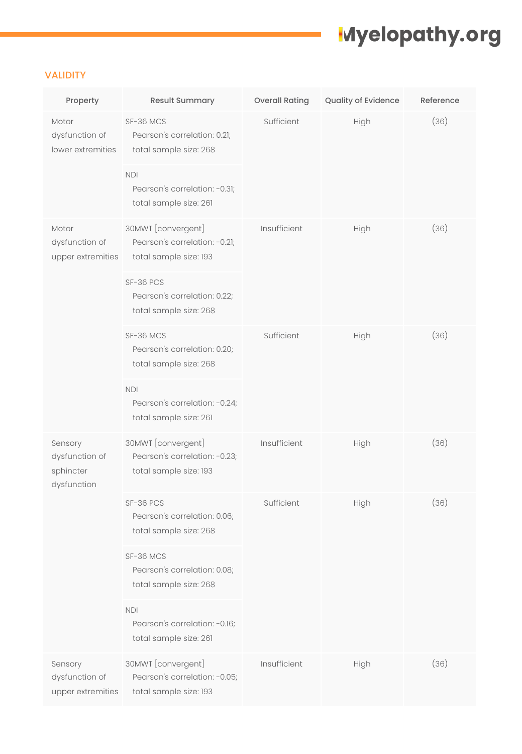### VALIDITY

| Property                                              | <b>Result Summary</b>                                                         | <b>Overall Rating</b> | Quality of Evidence | Reference |
|-------------------------------------------------------|-------------------------------------------------------------------------------|-----------------------|---------------------|-----------|
| Motor<br>dysfunction of<br>lower extremities          | SF-36 MCS<br>Pearson's correlation: 0.21;<br>total sample size: 268           | Sufficient            | High                | (36)      |
|                                                       | <b>NDI</b><br>Pearson's correlation: -0.31;<br>total sample size: 261         |                       |                     |           |
| Motor<br>dysfunction of<br>upper extremities          | 30MWT [convergent]<br>Pearson's correlation: -0.21;<br>total sample size: 193 | Insufficient          | High                | (36)      |
|                                                       | SF-36 PCS<br>Pearson's correlation: 0.22;<br>total sample size: 268           |                       |                     |           |
|                                                       | SF-36 MCS<br>Pearson's correlation: 0.20;<br>total sample size: 268           | Sufficient            | High                | (36)      |
|                                                       | <b>NDI</b><br>Pearson's correlation: -0.24;<br>total sample size: 261         |                       |                     |           |
| Sensory<br>dysfunction of<br>sphincter<br>dysfunction | 30MWT [convergent]<br>Pearson's correlation: -0.23;<br>total sample size: 193 | Insufficient          | High                | (36)      |
|                                                       | SF-36 PCS<br>Pearson's correlation: 0.06;<br>total sample size: 268           | Sufficient            | High                | (36)      |
|                                                       | SF-36 MCS<br>Pearson's correlation: 0.08;<br>total sample size: 268           |                       |                     |           |
|                                                       | <b>NDI</b><br>Pearson's correlation: -0.16;<br>total sample size: 261         |                       |                     |           |
| Sensory<br>dysfunction of<br>upper extremities        | 30MWT [convergent]<br>Pearson's correlation: -0.05;<br>total sample size: 193 | Insufficient          | High                | (36)      |